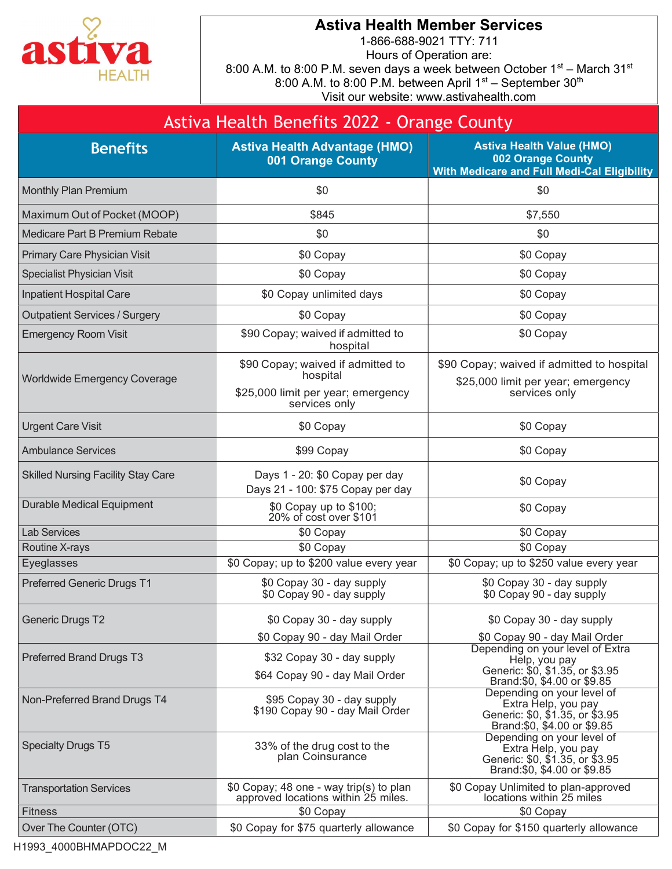

## Astiva Health Member Services

1-866-688-9021 TTY: 711 Hours of Operation are: 8:00 A.M. to 8:00 P.M. seven days a week between October 1st – March 31st 8:00 A.M. to 8:00 P.M. between April  $1<sup>st</sup>$  – September  $30<sup>th</sup>$ Visit our website: www.astivahealth.com

|                                           | Astiva Health Benefits 2022 - Orange County                                                          |                                                                                                                                                       |
|-------------------------------------------|------------------------------------------------------------------------------------------------------|-------------------------------------------------------------------------------------------------------------------------------------------------------|
| <b>Benefits</b>                           | <b>Astiva Health Advantage (HMO)</b><br>001 Orange County                                            | <b>Astiva Health Value (HMO)</b><br>002 Orange County<br><b>With Medicare and Full Medi-Cal Eligibility</b>                                           |
| <b>Monthly Plan Premium</b>               | \$0                                                                                                  | \$0                                                                                                                                                   |
| Maximum Out of Pocket (MOOP)              | \$845                                                                                                | \$7,550                                                                                                                                               |
| Medicare Part B Premium Rebate            | \$0                                                                                                  | \$0                                                                                                                                                   |
| Primary Care Physician Visit              | \$0 Copay                                                                                            | \$0 Copay                                                                                                                                             |
| <b>Specialist Physician Visit</b>         | \$0 Copay                                                                                            | \$0 Copay                                                                                                                                             |
| Inpatient Hospital Care                   | \$0 Copay unlimited days                                                                             | \$0 Copay                                                                                                                                             |
| <b>Outpatient Services / Surgery</b>      | \$0 Copay                                                                                            | \$0 Copay                                                                                                                                             |
| <b>Emergency Room Visit</b>               | \$90 Copay; waived if admitted to<br>hospital                                                        | \$0 Copay                                                                                                                                             |
| Worldwide Emergency Coverage              | \$90 Copay; waived if admitted to<br>hospital<br>\$25,000 limit per year; emergency<br>services only | \$90 Copay; waived if admitted to hospital<br>\$25,000 limit per year; emergency<br>services only                                                     |
| <b>Urgent Care Visit</b>                  | \$0 Copay                                                                                            | \$0 Copay                                                                                                                                             |
| <b>Ambulance Services</b>                 | \$99 Copay                                                                                           | \$0 Copay                                                                                                                                             |
| <b>Skilled Nursing Facility Stay Care</b> | Days 1 - 20: \$0 Copay per day<br>Days 21 - 100: \$75 Copay per day                                  | \$0 Copay                                                                                                                                             |
| <b>Durable Medical Equipment</b>          | \$0 Copay up to \$100;<br>20% of cost over \$101                                                     | \$0 Copay                                                                                                                                             |
| <b>Lab Services</b>                       | \$0 Copay                                                                                            | \$0 Copay                                                                                                                                             |
| Routine X-rays                            | \$0 Copay                                                                                            | \$0 Copay                                                                                                                                             |
| Eyeglasses                                | \$0 Copay; up to \$200 value every year                                                              | \$0 Copay; up to \$250 value every year                                                                                                               |
| <b>Preferred Generic Drugs T1</b>         | \$0 Copay 30 - day supply<br>\$0 Copay 90 - day supply                                               | \$0 Copay 30 - day supply<br>\$0 Copay 90 - day supply                                                                                                |
| <b>Generic Drugs T2</b>                   | \$0 Copay 30 - day supply                                                                            | \$0 Copay 30 - day supply                                                                                                                             |
| <b>Preferred Brand Drugs T3</b>           | \$0 Copay 90 - day Mail Order<br>\$32 Copay 30 - day supply<br>\$64 Copay 90 - day Mail Order        | \$0 Copay 90 - day Mail Order<br>Depending on your level of Extra<br>Help, you pay<br>Generic: \$0, \$1.35, or \$3.95<br>Brand: \$0, \$4.00 or \$9.85 |
| Non-Preferred Brand Drugs T4              | \$95 Copay 30 - day supply<br>\$190 Copay 90 - day Mail Order                                        | Depending on your level of<br>Extra Help, you pay<br>Generic: \$0, \$1.35, or \$3.95<br>Brand: \$0, \$4.00 or \$9.85                                  |
| <b>Specialty Drugs T5</b>                 | 33% of the drug cost to the<br>plan Coinsurance                                                      | Depending on your level of<br>Extra Help, you pay<br>Generic: \$0, \$1.35, or \$3.95<br>Brand:\$0, \$4.00 or \$9.85                                   |
| <b>Transportation Services</b>            | \$0 Copay; 48 one - way trip(s) to plan<br>approved locations within 25 miles.                       | \$0 Copay Unlimited to plan-approved<br>locations within 25 miles                                                                                     |
| Fitness                                   | \$0 Copay                                                                                            | \$0 Copay                                                                                                                                             |
| Over The Counter (OTC)                    | \$0 Copay for \$75 quarterly allowance                                                               | \$0 Copay for \$150 quarterly allowance                                                                                                               |

H1993\_4000BHMAPDOC22\_M